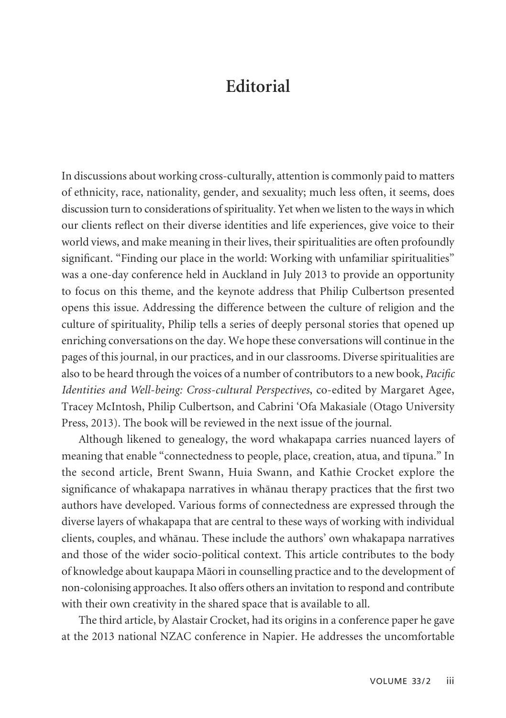## **Editorial**

In discussions about working cross-culturally, attention is commonly paid to matters of ethnicity, race, nationality, gender, and sexuality; much less often, it seems, does discussion turn to considerations of spirituality. Yet when we listen to the ways in which our clients reflect on their diverse identities and life experiences, give voice to their world views, and make meaning in their lives, their spiritualities are often profoundly significant. "Finding our place in the world: Working with unfamiliar spiritualities" was a one-day conference held in Auckland in July 2013 to provide an opportunity to focus on this theme, and the keynote address that Philip Culbertson presented opens this issue. Addressing the difference between the culture of religion and the culture of spirituality, Philip tells a series of deeply personal stories that opened up enriching conversations on the day. We hope these conversations will continue in the pages of this journal, in our practices, and in our classrooms. Diverse spiritualities are also to be heard through the voices of a number of contributors to a new book, *Pacific Identities and Well-being: Cross-cultural Perspectives*, co-edited by Margaret Agee, Tracey McIntosh, Philip Culbertson, and Cabrini 'Ofa Makasiale (Otago University Press, 2013). The book will be reviewed in the next issue of the journal.

Although likened to genealogy, the word whakapapa carries nuanced layers of meaning that enable "connectedness to people, place, creation, atua, and tīpuna." In the second article, Brent Swann, Huia Swann, and Kathie Crocket explore the significance of whakapapa narratives in whänau therapy practices that the first two authors have developed. Various forms of connectedness are expressed through the diverse layers of whakapapa that are central to these ways of working with individual clients, couples, and whänau. These include the authors' own whakapapa narratives and those of the wider socio-political context. This article contributes to the body of knowledge about kaupapa Mäori in counselling practice and to the development of non-colonising approaches. It also offers others an invitation to respond and contribute with their own creativity in the shared space that is available to all.

The third article, by Alastair Crocket, had its origins in a conference paper he gave at the 2013 national NZAC conference in Napier. He addresses the uncomfortable